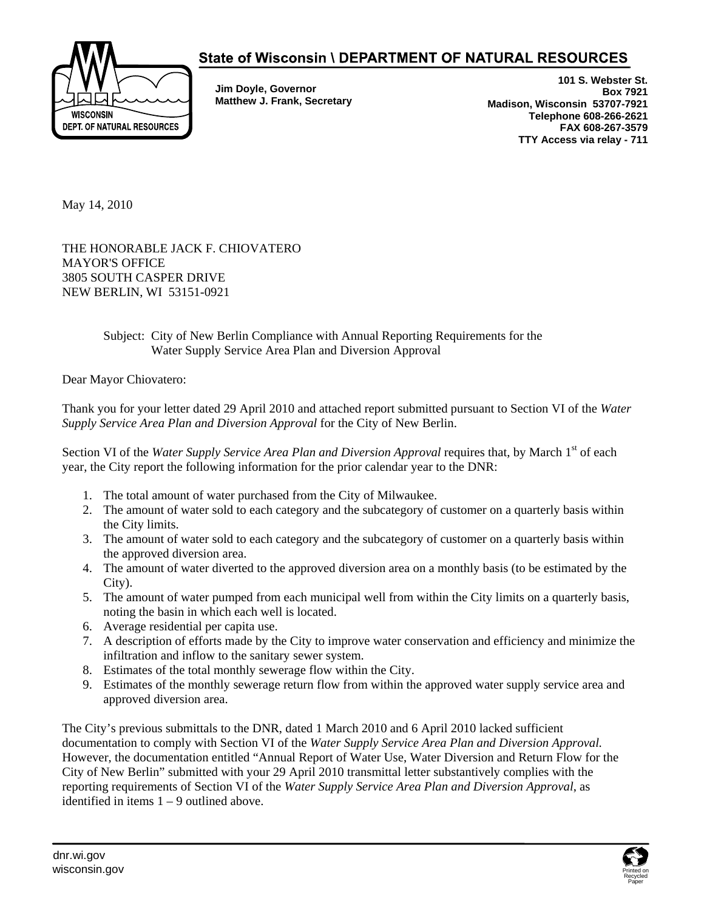

## State of Wisconsin \ DEPARTMENT OF NATURAL RESOURCES

**Jim Doyle, Governor Matthew J. Frank, Secretary** 

**101 S. Webster St. Box 7921 Madison, Wisconsin 53707-7921 Telephone 608-266-2621 FAX 608-267-3579 TTY Access via relay - 711** 

May 14, 2010

THE HONORABLE JACK F. CHIOVATERO MAYOR'S OFFICE 3805 SOUTH CASPER DRIVE NEW BERLIN, WI 53151-0921

## Subject: City of New Berlin Compliance with Annual Reporting Requirements for the Water Supply Service Area Plan and Diversion Approval

Dear Mayor Chiovatero:

Thank you for your letter dated 29 April 2010 and attached report submitted pursuant to Section VI of the *Water Supply Service Area Plan and Diversion Approval* for the City of New Berlin.

Section VI of the *Water Supply Service Area Plan and Diversion Approval* requires that, by March 1<sup>st</sup> of each year, the City report the following information for the prior calendar year to the DNR:

- 1. The total amount of water purchased from the City of Milwaukee.
- 2. The amount of water sold to each category and the subcategory of customer on a quarterly basis within the City limits.
- 3. The amount of water sold to each category and the subcategory of customer on a quarterly basis within the approved diversion area.
- 4. The amount of water diverted to the approved diversion area on a monthly basis (to be estimated by the City).
- 5. The amount of water pumped from each municipal well from within the City limits on a quarterly basis, noting the basin in which each well is located.
- 6. Average residential per capita use.
- 7. A description of efforts made by the City to improve water conservation and efficiency and minimize the infiltration and inflow to the sanitary sewer system.
- 8. Estimates of the total monthly sewerage flow within the City.
- 9. Estimates of the monthly sewerage return flow from within the approved water supply service area and approved diversion area.

The City's previous submittals to the DNR, dated 1 March 2010 and 6 April 2010 lacked sufficient documentation to comply with Section VI of the *Water Supply Service Area Plan and Diversion Approval.*  However, the documentation entitled "Annual Report of Water Use, Water Diversion and Return Flow for the City of New Berlin" submitted with your 29 April 2010 transmittal letter substantively complies with the reporting requirements of Section VI of the *Water Supply Service Area Plan and Diversion Approval*, as identified in items  $1 - 9$  outlined above.